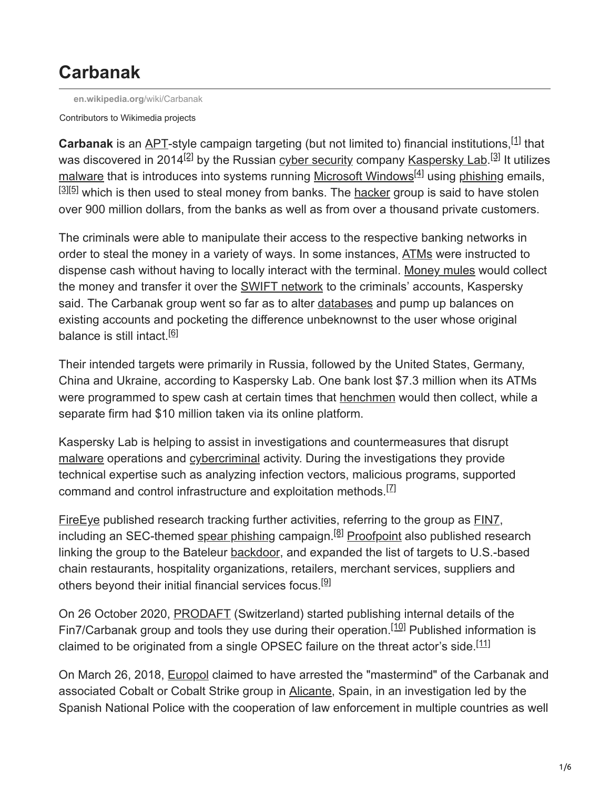# **Carbanak**

**[en.wikipedia.org](https://en.wikipedia.org/wiki/Carbanak)**/wiki/Carbanak

Contributors to Wikimedia projects

Carbanak is an [APT](https://en.wikipedia.org/wiki/Advanced_Persistent_Threat)-style campaign targeting (but not limited to) financial institutions, <sup>[1]</sup> that was discovered in 2014<sup>[2]</sup> by the Russian <u>cyber security</u> company <u>[Kaspersky Lab](https://en.wikipedia.org/wiki/Kaspersky_Lab)</u>.<sup>[3]</sup> It utilizes [malware](https://en.wikipedia.org/wiki/Malware) that is introduces into systems running [Microsoft Windows](https://en.wikipedia.org/wiki/Microsoft_Windows)<sup>[4]</sup> using [phishing](https://en.wikipedia.org/wiki/Phishing) emails,  $^{[3][5]}$  which is then used to steal money from banks. The [hacker](https://en.wikipedia.org/wiki/Hacker) group is said to have stolen over 900 million dollars, from the banks as well as from over a thousand private customers.

The criminals were able to manipulate their access to the respective banking networks in order to steal the money in a variety of ways. In some instances, [ATMs](https://en.wikipedia.org/wiki/Automated_teller_machine) were instructed to dispense cash without having to locally interact with the terminal. [Money mules](https://en.wikipedia.org/wiki/Money_mule) would collect the money and transfer it over the [SWIFT network](https://en.wikipedia.org/wiki/Society_for_Worldwide_Interbank_Financial_Telecommunication) to the criminals' accounts, Kaspersky said. The Carbanak group went so far as to alter [databases](https://en.wikipedia.org/wiki/Database) and pump up balances on existing accounts and pocketing the difference unbeknownst to the user whose original balance is still intact.<sup>[6]</sup>

Their intended targets were primarily in Russia, followed by the United States, Germany, China and Ukraine, according to Kaspersky Lab. One bank lost \$7.3 million when its ATMs were programmed to spew cash at certain times that [henchmen](https://en.wikipedia.org/wiki/Henchmen) would then collect, while a separate firm had \$10 million taken via its online platform.

Kaspersky Lab is helping to assist in investigations and countermeasures that disrupt [malware](https://en.wikipedia.org/wiki/Malware) operations and [cybercriminal](https://en.wikipedia.org/wiki/Cybercriminal) activity. During the investigations they provide technical expertise such as analyzing infection vectors, malicious programs, supported command and control infrastructure and exploitation methods.<sup>[7]</sup>

[FireEye](https://en.wikipedia.org/wiki/FireEye) published research tracking further activities, referring to the group as [FIN7,](https://en.wikipedia.org/wiki/FIN7) including an SEC-themed [spear phishing](https://en.wikipedia.org/wiki/Spear_phishing) campaign.<sup>[8]</sup> [Proofpoint](https://en.wikipedia.org/wiki/Proofpoint,_Inc.) also published research linking the group to the Bateleur [backdoor](https://en.wikipedia.org/wiki/Backdoor_(computing)), and expanded the list of targets to U.S.-based chain restaurants, hospitality organizations, retailers, merchant services, suppliers and others beyond their initial financial services focus.<sup>[9]</sup>

On 26 October 2020, [PRODAFT](https://en.wikipedia.org/wiki/PRODAFT) (Switzerland) started publishing internal details of the Fin7/Carbanak group and tools they use during their operation.<sup>[10]</sup> Published information is claimed to be originated from a single OPSEC failure on the threat actor's side.<sup>[11]</sup>

On March 26, 2018, [Europol](https://en.wikipedia.org/wiki/Europol) claimed to have arrested the "mastermind" of the Carbanak and associated Cobalt or Cobalt Strike group in [Alicante](https://en.wikipedia.org/wiki/Alicante), Spain, in an investigation led by the Spanish National Police with the cooperation of law enforcement in multiple countries as well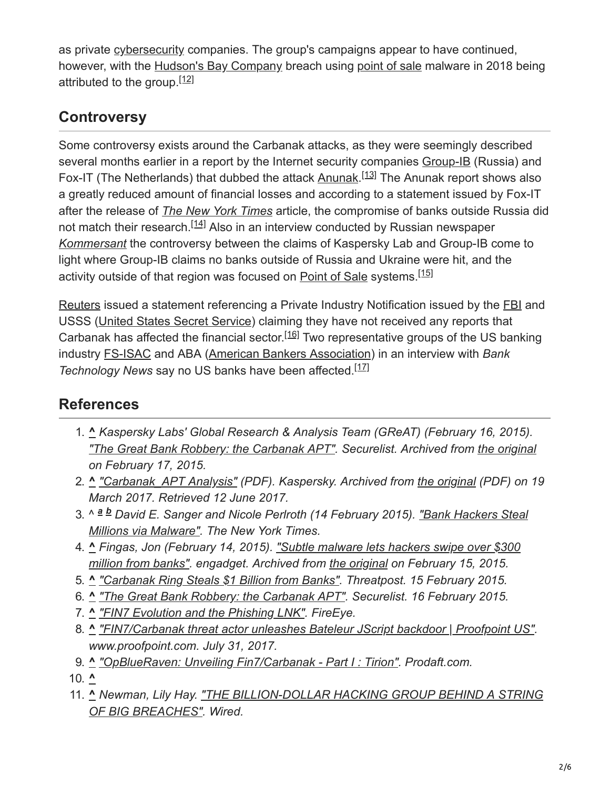as private [cybersecurity](https://en.wikipedia.org/wiki/Cybersecurity) companies. The group's campaigns appear to have continued, however, with the [Hudson's Bay Company](https://en.wikipedia.org/wiki/Hudson%27s_Bay_Company) breach using [point of sale](https://en.wikipedia.org/wiki/Point_of_sale) malware in 2018 being attributed to the group.<sup>[12]</sup>

## **Controversy**

Some controversy exists around the Carbanak attacks, as they were seemingly described several months earlier in a report by the Internet security companies [Group-IB](https://en.wikipedia.org/w/index.php?title=Group-IB&action=edit&redlink=1) (Russia) and Fox-IT (The Netherlands) that dubbed the attack [Anunak.](https://en.wikipedia.org/w/index.php?title=Group-IB&action=edit&redlink=1)<sup>[13]</sup> The Anunak report shows also a greatly reduced amount of financial losses and according to a statement issued by Fox-IT after the release of *[The New York Times](https://en.wikipedia.org/wiki/The_New_York_Times)* article, the compromise of banks outside Russia did not match their research.<sup>[14]</sup> Also in an interview conducted by Russian newspaper *[Kommersant](https://en.wikipedia.org/wiki/Kommersant)* the controversy between the claims of Kaspersky Lab and Group-IB come to light where Group-IB claims no banks outside of Russia and Ukraine were hit, and the activity outside of that region was focused on **[Point of Sale](https://en.wikipedia.org/wiki/Point_of_Sale)** systems.<sup>[15]</sup>

[Reuters](https://en.wikipedia.org/wiki/Reuters) issued a statement referencing a Private Industry Notification issued by the [FBI](https://en.wikipedia.org/wiki/FBI) and USSS ([United States Secret Service\)](https://en.wikipedia.org/wiki/United_States_Secret_Service) claiming they have not received any reports that Carbanak has affected the financial sector.<sup>[16]</sup> Two representative groups of the US banking industry [FS-ISAC](https://en.wikipedia.org/wiki/Financial_Services_Information_Sharing_and_Analysis_Center) and ABA ([American Bankers Association\)](https://en.wikipedia.org/wiki/American_Bankers_Association) in an interview with *Bank* Technology News say no US banks have been affected.<sup>[17]</sup>

## **References**

- 1. **^** *Kaspersky Labs' Global Research & Analysis Team (GReAT) (February 16, 2015). ["The Great Bank Robbery: the Carbanak APT"](https://web.archive.org/web/20150217133401/https://securelist.com/blog/research/68732/the-great-bank-robbery-the-carbanak-apt/). Securelist. Archived from [the original](https://securelist.com/the-great-bank-robbery-the-carbanak-apt/68732/) on February 17, 2015.*
- 2. **^** *["Carbanak\\_APT Analysis"](https://web.archive.org/web/20170319112435/https://securelist.com/files/2015/02/Carbanak_APT_eng.pdf) (PDF). Kaspersky. Archived from [the original](https://securelist.com/files/2015/02/Carbanak_APT_eng.pdf) (PDF) on 19 March 2017. Retrieved 12 June 2017.*
- 3. ^ <sup>a b</sup> David E. Sanger and Nicole Perlroth (14 February 2015). <u>"Bank Hackers Steal</u> *Millions via Malware". The New York Times.*
- 4. **^** *[Fingas, Jon \(February 14, 2015\). "Subtle malware lets hackers swipe over \\$300](https://web.archive.org/web/20150215043601/http://www.engadget.com/2015/02/14/carbanak-malware-attacks-banks/) million from banks". engadget. Archived from [the original](https://www.engadget.com/2015/02/14/carbanak-malware-attacks-banks/) on February 15, 2015.*
- 5. **^** *["Carbanak Ring Steals \\$1 Billion from Banks"](https://threatpost.com/carbanak-ring-steals-1-billion-from-banks/111054/). Threatpost. 15 February 2015.*
- 6. **^** *["The Great Bank Robbery: the Carbanak APT"](https://securelist.com/the-great-bank-robbery-the-carbanak-apt/68732/). Securelist. 16 February 2015.*
- 7. **^** *["FIN7 Evolution and the Phishing LNK".](https://www.fireeye.com/blog/threat-research/2017/04/fin7-phishing-lnk.html) FireEye.*
- 8. **^** *["FIN7/Carbanak threat actor unleashes Bateleur JScript backdoor | Proofpoint US"](https://www.proofpoint.com/us/threat-insight/post/fin7carbanak-threat-actor-unleashes-bateleur-jscript-backdoor). www.proofpoint.com. July 31, 2017.*
- 9. **^** *["OpBlueRaven: Unveiling Fin7/Carbanak Part I : Tirion".](https://www.prodaft.com/blog/detail/opblueraven-unveiling-fin7carbanak-part-i-tirion) Prodaft.com.*
- 10. **^**
- 11. **^** *[Newman, Lily Hay. "THE BILLION-DOLLAR HACKING GROUP BEHIND A STRING](https://www.wired.com/story/fin7-carbanak-hacking-group-behind-a-string-of-big-breaches/) OF BIG BREACHES". Wired.*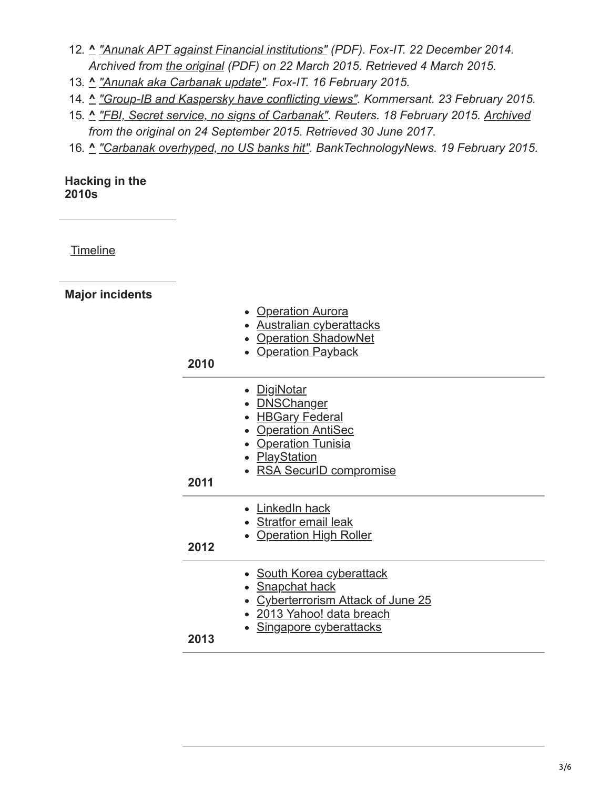- 12. **^** *["Anunak APT against Financial institutions"](https://web.archive.org/web/20150322135551/https://www.fox-it.com/en/files/2014/12/Anunak_APT-against-financial-institutions2.pdf) (PDF). Fox-IT. 22 December 2014. Archived from [the original](https://www.fox-it.com/en/files/2014/12/Anunak_APT-against-financial-institutions2.pdf) (PDF) on 22 March 2015. Retrieved 4 March 2015.*
- 13. **^** *["Anunak aka Carbanak update".](https://www.fox-it.com/en/press-releases/anunak-aka-carbanak-update/) Fox-IT. 16 February 2015.*
- 14. **^** *["Group-IB and Kaspersky have conflicting views"](http://kommersant.ru/doc/2664735). Kommersant. 23 February 2015.*
- 15. **^** *["FBI, Secret service, no signs of Carbanak"](https://www.reuters.com/article/cybersecurity-banks-idUSL1N0VS2B820150218). Reuters. 18 February 2015. [Archived](https://web.archive.org/web/20150924213517/http://www.reuters.com/article/2015/02/18/cybersecurity-banks-idUSL1N0VS2B820150218) from the original on 24 September 2015. Retrieved 30 June 2017.*
- 16. **^** *["Carbanak overhyped, no US banks hit"](http://www.americanbanker.com/news/bank-technology/carbanak-cybersecurity-threat-is-overhyped-banking-groups-say-1072809-1.html). BankTechnologyNews. 19 February 2015.*

#### **Hacking in the 2010s**

**[Timeline](https://en.wikipedia.org/wiki/Timeline_of_computer_security_hacker_history#2010s)** 

**Major incidents**

| 2010 | • Operation Aurora<br>• Australian cyberattacks<br>• Operation ShadowNet<br>• Operation Payback                                                          |
|------|----------------------------------------------------------------------------------------------------------------------------------------------------------|
| 2011 | • DigiNotar<br>• <b>DNSChanger</b><br>• HBGary Federal<br>• Operation AntiSec<br>• Operation Tunisia<br>• <b>PlayStation</b><br>• RSA SecurID compromise |
| 2012 | • LinkedIn hack<br>• Stratfor email leak<br>• Operation High Roller                                                                                      |
| 2013 | • South Korea cyberattack<br>• Snapchat hack<br>• Cyberterrorism Attack of June 25<br>· 2013 Yahoo! data breach<br><u>Singapore cyberattacks</u>         |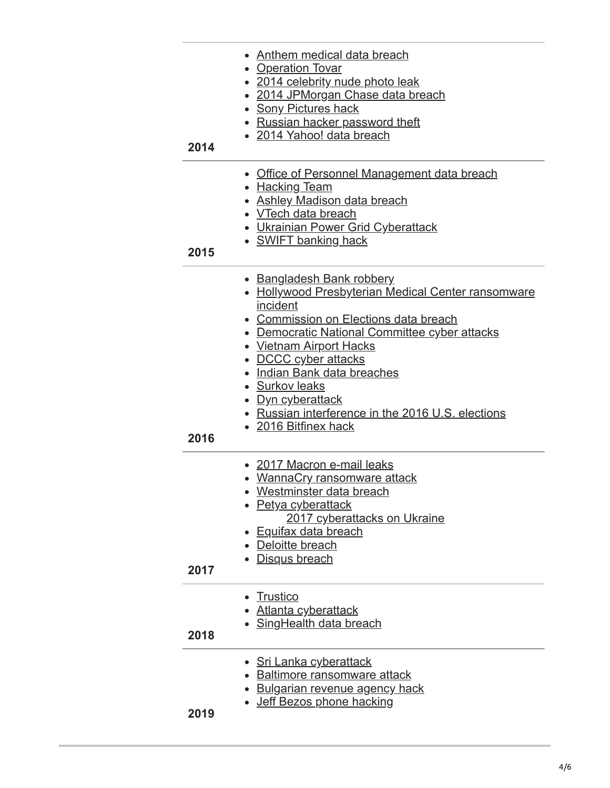| 2014 | Anthem medical data breach<br>• Operation Tovar<br>• 2014 celebrity nude photo leak<br>2014 JPMorgan Chase data breach<br><b>Sony Pictures hack</b><br>Russian hacker password theft<br>• 2014 Yahoo! data breach                                                                                                                                                                                   |
|------|-----------------------------------------------------------------------------------------------------------------------------------------------------------------------------------------------------------------------------------------------------------------------------------------------------------------------------------------------------------------------------------------------------|
| 2015 | Office of Personnel Management data breach<br>• Hacking Team<br>• Ashley Madison data breach<br>• VTech data breach<br><b>Ukrainian Power Grid Cyberattack</b><br>• SWIFT banking hack                                                                                                                                                                                                              |
| 2016 | • Bangladesh Bank robbery<br>• Hollywood Presbyterian Medical Center ransomware<br>incident<br>• Commission on Elections data breach<br>• Democratic National Committee cyber attacks<br><b>Vietnam Airport Hacks</b><br>• DCCC cyber attacks<br>Indian Bank data breaches<br>• Surkov leaks<br><u>Dyn cyberattack</u><br>• Russian interference in the 2016 U.S. elections<br>• 2016 Bitfinex hack |
| 2017 | • 2017 Macron e-mail leaks<br>• WannaCry ransomware attack<br>Westminster data breach<br>• Petya cyberattack<br>2017 cyberattacks on Ukraine<br><b>Equifax data breach</b><br>Deloitte breach<br>Disqus breach                                                                                                                                                                                      |
| 2018 | <b>Trustico</b><br><u>Atlanta cyberattack</u><br>• SingHealth data breach                                                                                                                                                                                                                                                                                                                           |
| 2019 | • Sri Lanka cyberattack<br><b>Baltimore ransomware attack</b><br><b>Bulgarian revenue agency hack</b><br>Jeff Bezos phone hacking                                                                                                                                                                                                                                                                   |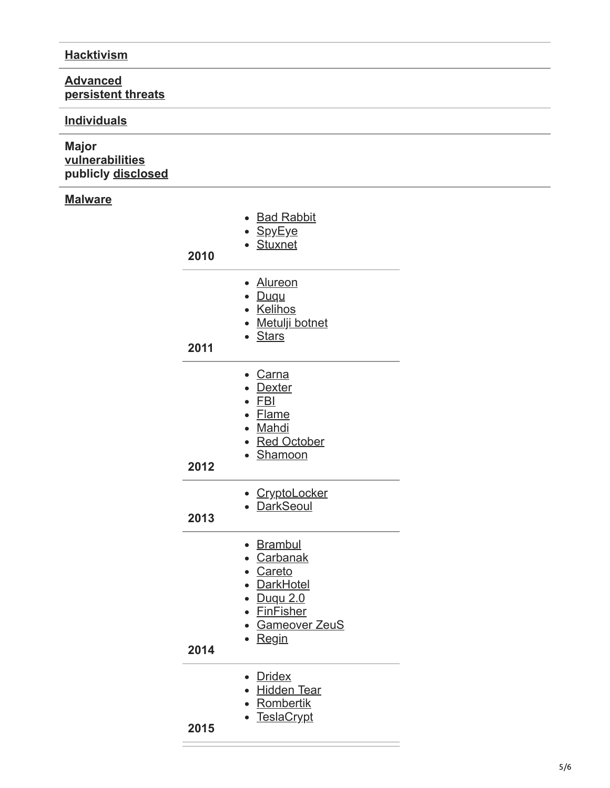### **[Hacktivism](https://en.wikipedia.org/wiki/Hacktivism)**

#### **Advanced [persistent threats](https://en.wikipedia.org/wiki/Advanced_persistent_threat)**

#### **[Individuals](https://en.wikipedia.org/wiki/Hacker)**

### **Major [vulnerabilities](https://en.wikipedia.org/wiki/Vulnerability_(computing)) publicly [disclosed](https://en.wikipedia.org/wiki/Full_disclosure_(computer_security))**

## **[Malware](https://en.wikipedia.org/wiki/Malware)**

| 2010 | <b>Bad Rabbit</b><br>• <u>SpyEye</u><br>• Stuxnet                                                                                                                 |
|------|-------------------------------------------------------------------------------------------------------------------------------------------------------------------|
| 2011 | • Alureon<br>• <u>Duqu</u><br>• Kelihos<br>• Metulji botnet<br>· Stars                                                                                            |
| 2012 | • Carna<br>• Dexter<br>FBI<br>$\bullet$<br>• Flame<br>• Mahdi<br>• Red October<br>• Shamoon                                                                       |
| 2013 | • CryptoLocker<br>• DarkSeoul                                                                                                                                     |
| 2014 | <b>Brambul</b><br>• Carbanak<br>• Careto<br><b>DarkHotel</b><br>$\bullet$<br>Duqu 2.0<br>$\bullet$<br>• FinFisher<br>• Gameover ZeuS<br><u>Regin</u><br>$\bullet$ |
| 2015 | <b>Dridex</b><br><b>Hidden Tear</b><br>Rombertik<br><b>TeslaCrypt</b>                                                                                             |